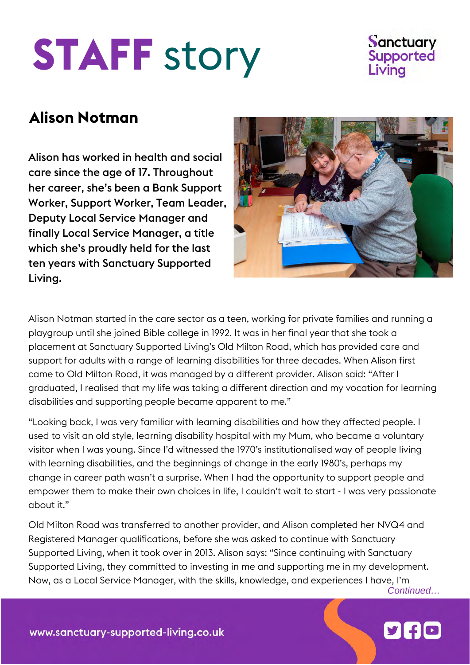## **STAFF** story



## **Alison Notman**

Alison has worked in health and social care since the age of 17. Throughout her career, she's been a Bank Support Worker, Support Worker, Team Leader, Deputy Local Service Manager and finally Local Service Manager, a title which she's proudly held for the last ten years with Sanctuary Supported Living.



Alison Notman started in the care sector as a teen, working for private families and running a playgroup until she joined Bible college in 1992. It was in her final year that she took a placement at Sanctuary Supported Living's [Old Milton Road,](https://www.sanctuary-supported-living.co.uk/find-services/disability/hampshire/old-milton-road) which has provided care and support for adults with a range of learning disabilities [for three decades.](https://www.sanctuary-supported-living.co.uk/news/disability/three-decades-of-support-celebrated-at-new-milton-housing-service) When Alison first came to Old Milton Road, it was managed by a different provider. Alison said: "After I graduated, I realised that my life was taking a different direction and my vocation for learning disabilities and supporting people became apparent to me."

"Looking back, I was very familiar with learning disabilities and how they affected people. I used to visit an old style, learning disability hospital with my Mum, who became a voluntary visitor when I was young. Since I'd witnessed the 1970's institutionalised way of people living with learning disabilities, and the beginnings of change in the early 1980's, perhaps my change in career path wasn't a surprise. When I had the opportunity to support people and empower them to make their own choices in life, I couldn't wait to start - I was very passionate about it."

Old Milton Road was transferred to another provider, and Alison completed her NVQ4 and Registered Manager qualifications, before she was asked to continue with Sanctuary Supported Living, when it took over in 2013. Alison says: "Since continuing with Sanctuary Supported Living, they committed to investing in me and supporting me in my development. Now, as a Local Service Manager, with the skills, knowledge, and experiences I have, I'm

*Continued…*